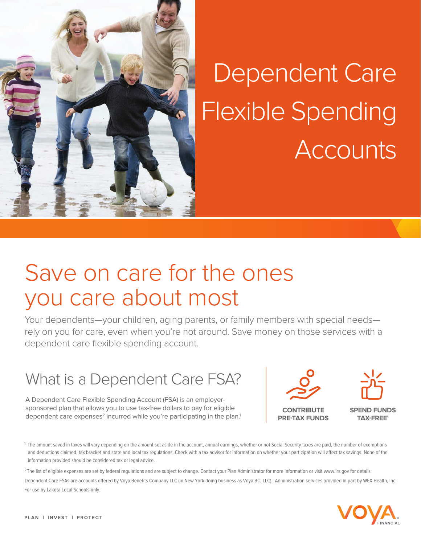

# Dependent Care Flexible Spending **Accounts**

## Save on care for the ones you care about most

Your dependents—your children, aging parents, or family members with special needs rely on you for care, even when you're not around. Save money on those services with a dependent care flexible spending account.

### What is a Dependent Care FSA?

A Dependent Care Flexible Spending Account (FSA) is an employersponsored plan that allows you to use tax-free dollars to pay for eligible sponsored plan that allows you to use tax-free dollars to pay for eligible **CONTRIBUTE**<br>dependent care expenses<sup>2</sup> incurred while you're participating in the plan.<sup>1</sup> **PRE-TAX FUND** 



**PRE-TAX FUNDS** 



**SPEND FUNDS TAX-FREE1**

1 The amount saved in taxes will vary depending on the amount set aside in the account, annual earnings, whether or not Social Security taxes are paid, the number of exemptions and deductions claimed, tax bracket and state and local tax regulations. Check with a tax advisor for information on whether your participation will affect tax savings. None of the information provided should be considered tax or legal advice.

<sup>2</sup>The list of eligible expenses are set by federal regulations and are subject to change. Contact your Plan Administrator for more information or visit www.irs.gov for details. Dependent Care FSAs are accounts offered by Voya Benefits Company LLC (in New York doing business as Voya BC, LLC). Administration services provided in part by WEX Health, Inc. For use by Lakota Local Schools only.

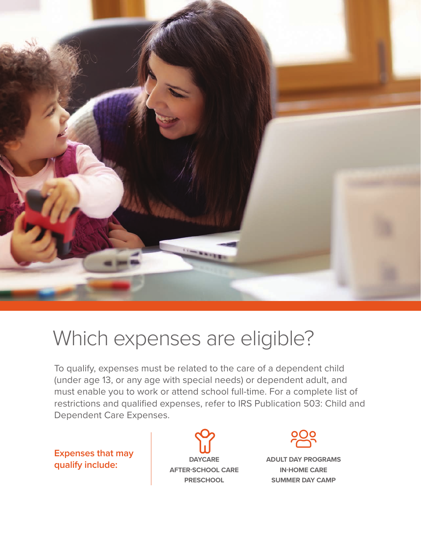

### Which expenses are eligible?

To qualify, expenses must be related to the care of a dependent child (under age 13, or any age with special needs) or dependent adult, and must enable you to work or attend school full-time. For a complete list of restrictions and qualified expenses, refer to IRS Publication 503: Child and Dependent Care Expenses.

**Expenses that may qualify include:**

**DAYCARE AFTER-SCHOOL CARE PRESCHOOL**  $\Omega$ 



**ADULT DAY PROGRAMS IN-HOME CARE SUMMER DAY CAMP**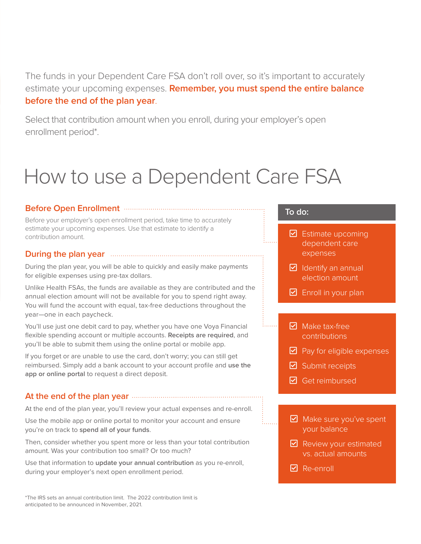The funds in your Dependent Care FSA don't roll over, so it's important to accurately estimate your upcoming expenses. **Remember, you must spend the entire balance before the end of the plan year**.

Select that contribution amount when you enroll, during your employer's open enrollment period\*.

### How to use a Dependent Care FSA

#### **Before Open Enrollment**

Before your employer's open enrollment period, take time to accurately estimate your upcoming expenses. Use that estimate to identify a contribution amount.

#### **During the plan year**

During the plan year, you will be able to quickly and easily make payments for eligible expenses using pre-tax dollars.

Unlike Health FSAs, the funds are available as they are contributed and the annual election amount will not be available for you to spend right away. You will fund the account with equal, tax-free deductions throughout the year—one in each paycheck.

You'll use just one debit card to pay, whether you have one Voya Financial flexible spending account or multiple accounts. **Receipts are required**, and you'll be able to submit them using the online portal or mobile app.

If you forget or are unable to use the card, don't worry; you can still get reimbursed. Simply add a bank account to your account profile and **use the app or online portal** to request a direct deposit.

#### **At the end of the plan year**

At the end of the plan year, you'll review your actual expenses and re-enroll.

Use the mobile app or online portal to monitor your account and ensure you're on track to **spend all of your funds**.

Then, consider whether you spent more or less than your total contribution amount. Was your contribution too small? Or too much?

Use that information to **update your annual contribution** as you re-enroll, during your employer's next open enrollment period.

#### \*The IRS sets an annual contribution limit. The 2022 contribution limit is anticipated to be announced in November, 2021.

#### **To do:**

- $\boxdot$  Estimate upcoming dependent care expenses
- $\triangleright$  Identify an annual election amount
- $\boxdot$  Enroll in your plan
- $\nabla$  Make tax-free contributions
- $\blacktriangleright$  Pay for eligible expenses
- $\boxdot$  Submit receipts
- $\boxdot$  Get reimbursed
- $\triangleright$  Make sure you've spent your balance
- $\triangleright$  Review your estimated vs. actual amounts
- $\boxtimes$  Re-enroll